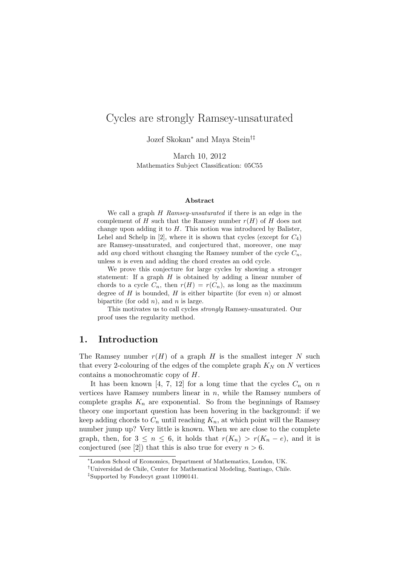# Cycles are strongly Ramsey-unsaturated

Jozef Skokan<sup>∗</sup> and Maya Stein†‡

March 10, 2012 Mathematics Subject Classification: 05C55

#### Abstract

We call a graph H Ramsey-unsaturated if there is an edge in the complement of H such that the Ramsey number  $r(H)$  of H does not change upon adding it to  $H$ . This notion was introduced by Balister, Lehel and Schelp in [2], where it is shown that cycles (except for  $C_4$ ) are Ramsey-unsaturated, and conjectured that, moreover, one may add any chord without changing the Ramsey number of the cycle  $C_n$ , unless  $n$  is even and adding the chord creates an odd cycle.

We prove this conjecture for large cycles by showing a stronger statement: If a graph  $H$  is obtained by adding a linear number of chords to a cycle  $C_n$ , then  $r(H) = r(C_n)$ , as long as the maximum degree of H is bounded, H is either bipartite (for even n) or almost bipartite (for odd  $n$ ), and  $n$  is large.

This motivates us to call cycles strongly Ramsey-unsaturated. Our proof uses the regularity method.

# 1. Introduction

The Ramsey number  $r(H)$  of a graph H is the smallest integer N such that every 2-colouring of the edges of the complete graph  $K_N$  on N vertices contains a monochromatic copy of H.

It has been known [4, 7, 12] for a long time that the cycles  $C_n$  on n vertices have Ramsey numbers linear in  $n$ , while the Ramsey numbers of complete graphs  $K_n$  are exponential. So from the beginnings of Ramsey theory one important question has been hovering in the background: if we keep adding chords to  $C_n$  until reaching  $K_n$ , at which point will the Ramsey number jump up? Very little is known. When we are close to the complete graph, then, for  $3 \leq n \leq 6$ , it holds that  $r(K_n) > r(K_n - e)$ , and it is conjectured (see [2]) that this is also true for every  $n > 6$ .

<sup>∗</sup>London School of Economics, Department of Mathematics, London, UK.

<sup>†</sup>Universidad de Chile, Center for Mathematical Modeling, Santiago, Chile.

<sup>‡</sup>Supported by Fondecyt grant 11090141.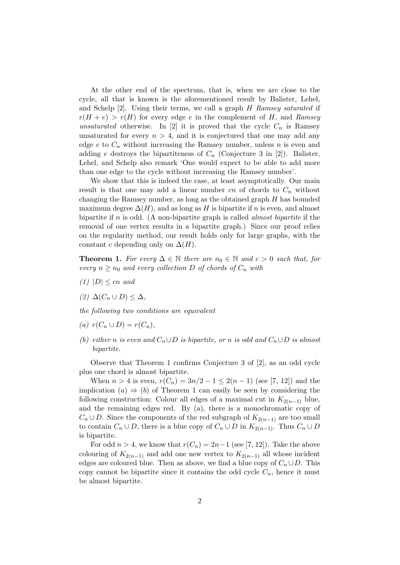At the other end of the spectrum, that is, when we are close to the cycle, all that is known is the aforementioned result by Balister, Lehel, and Schelp  $[2]$ . Using their terms, we call a graph H Ramsey saturated if  $r(H + e) > r(H)$  for every edge e in the complement of H, and Ramsey unsaturated otherwise. In [2] it is proved that the cycle  $C_n$  is Ramsey unsaturated for every  $n > 4$ , and it is conjectured that one may add any edge e to  $C_n$  without increasing the Ramsey number, unless n is even and adding e destroys the bipartiteness of  $C_n$  (Conjecture 3 in [2]). Balister, Lehel, and Schelp also remark 'One would expect to be able to add more than one edge to the cycle without increasing the Ramsey number'.

We show that this is indeed the case, at least asymptotically. Our main result is that one may add a linear number  $cn$  of chords to  $C_n$  without changing the Ramsey number, as long as the obtained graph H has bounded maximum degree  $\Delta(H)$ , and as long as H is bipartite if n is even, and almost bipartite if n is odd. (A non-bipartite graph is called *almost bipartite* if the removal of one vertex results in a bipartite graph.) Since our proof relies on the regularity method, our result holds only for large graphs, with the constant c depending only on  $\Delta(H)$ .

**Theorem 1.** For every  $\Delta \in \mathbb{N}$  there are  $n_0 \in \mathbb{N}$  and  $c > 0$  such that, for every  $n \geq n_0$  and every collection D of chords of  $C_n$  with

- $(1)$   $|D| \leq cn$  and
- (2)  $\Delta(C_n \cup D) \leq \Delta$ ,

the following two conditions are equivalent

- (a)  $r(C_n \cup D) = r(C_n)$ ,
- (b) either n is even and  $C_n \cup D$  is bipartite, or n is odd and  $C_n \cup D$  is almost bipartite.

Observe that Theorem 1 confirms Conjecture 3 of [2], as an odd cycle plus one chord is almost bipartite.

When  $n > 4$  is even,  $r(C_n) = 3n/2 - 1 \leq 2(n - 1)$  (see [7, 12]) and the implication  $(a) \Rightarrow (b)$  of Theorem 1 can easily be seen by considering the following construction: Colour all edges of a maximal cut in  $K_{2(n-1)}$  blue, and the remaining edges red. By (a), there is a monochromatic copy of  $C_n \cup D$ . Since the components of the red subgraph of  $K_{2(n-1)}$  are too small to contain  $C_n \cup D$ , there is a blue copy of  $C_n \cup D$  in  $K_{2(n-1)}$ . Thus  $C_n \cup D$ is bipartite.

For odd  $n > 4$ , we know that  $r(C_n) = 2n-1$  (see [7, 12]). Take the above colouring of  $K_{2(n-1)}$  and add one new vertex to  $K_{2(n-1)}$  all whose incident edges are coloured blue. Then as above, we find a blue copy of  $C_n \cup D$ . This copy cannot be bipartite since it contains the odd cycle  $C_n$ , hence it must be almost bipartite.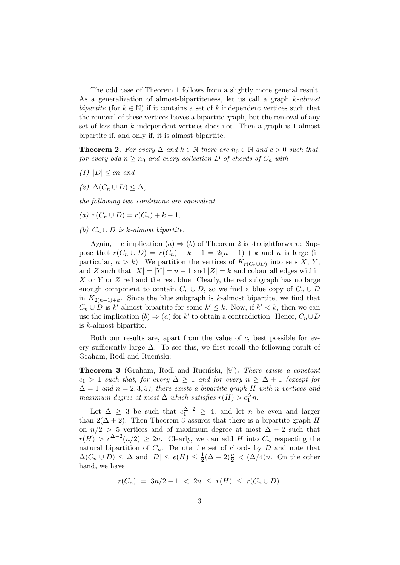The odd case of Theorem 1 follows from a slightly more general result. As a generalization of almost-bipartiteness, let us call a graph  $k$ -almost bipartite (for  $k \in \mathbb{N}$ ) if it contains a set of k independent vertices such that the removal of these vertices leaves a bipartite graph, but the removal of any set of less than k independent vertices does not. Then a graph is 1-almost bipartite if, and only if, it is almost bipartite.

**Theorem 2.** For every  $\Delta$  and  $k \in \mathbb{N}$  there are  $n_0 \in \mathbb{N}$  and  $c > 0$  such that, for every odd  $n \ge n_0$  and every collection D of chords of  $C_n$  with

- $(1)$   $|D| \leq cn$  and
- (2)  $\Delta(C_n \cup D) \leq \Delta$ ,

the following two conditions are equivalent

- (a)  $r(C_n \cup D) = r(C_n) + k 1$ ,
- (b)  $C_n \cup D$  is k-almost bipartite.

Again, the implication  $(a) \Rightarrow (b)$  of Theorem 2 is straightforward: Suppose that  $r(C_n \cup D) = r(C_n) + k - 1 = 2(n - 1) + k$  and n is large (in particular,  $n > k$ ). We partition the vertices of  $K_{r(C_n \cup D)}$  into sets X, Y, and Z such that  $|X| = |Y| = n - 1$  and  $|Z| = k$  and colour all edges within  $X$  or  $Y$  or  $Z$  red and the rest blue. Clearly, the red subgraph has no large enough component to contain  $C_n \cup D$ , so we find a blue copy of  $C_n \cup D$ in  $K_{2(n-1)+k}$ . Since the blue subgraph is k-almost bipartite, we find that  $C_n \cup D$  is k'-almost bipartite for some  $k' \leq k$ . Now, if  $k' < k$ , then we can use the implication  $(b) \Rightarrow (a)$  for k' to obtain a contradiction. Hence,  $C_n \cup D$ is k-almost bipartite.

Both our results are, apart from the value of c, best possible for every sufficiently large  $\Delta$ . To see this, we first recall the following result of Graham, Rödl and Ruciński:

Theorem 3 (Graham, Rödl and Ruciński, [9]). There exists a constant  $c_1 > 1$  such that, for every  $\Delta \geq 1$  and for every  $n \geq \Delta + 1$  (except for  $\Delta = 1$  and  $n = 2, 3, 5$ , there exists a bipartite graph H with n vertices and maximum degree at most  $\Delta$  which satisfies  $r(H) > c_1^{\Delta} n$ .

Let  $\Delta \geq 3$  be such that  $c_1^{\Delta-2} \geq 4$ , and let *n* be even and larger than  $2(\Delta + 2)$ . Then Theorem 3 assures that there is a bipartite graph H on  $n/2 > 5$  vertices and of maximum degree at most  $\Delta - 2$  such that  $r(H) > c_1^{\Delta-2}(n/2) \geq 2n$ . Clearly, we can add H into  $C_n$  respecting the natural bipartition of  $C_n$ . Denote the set of chords by D and note that  $\Delta(C_n \cup D) \leq \Delta$  and  $|D| \leq e(H) \leq \frac{1}{2}$  $\frac{1}{2}(\Delta - 2)^{\frac{n}{2}} < (\Delta/4)n$ . On the other hand, we have

$$
r(C_n) = 3n/2 - 1 < 2n \le r(H) \le r(C_n \cup D).
$$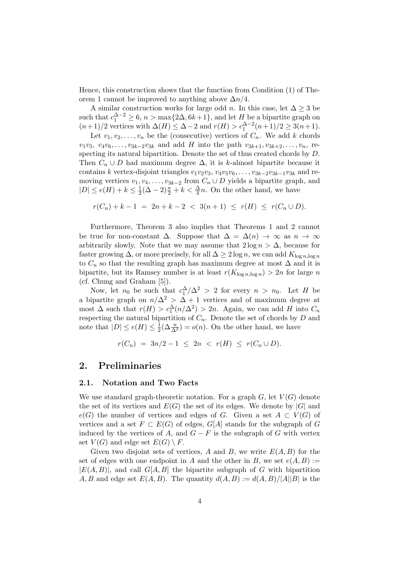Hence, this construction shows that the function from Condition (1) of Theorem 1 cannot be improved to anything above  $\Delta n/4$ .

A similar construction works for large odd *n*. In this case, let  $\Delta \geq 3$  be such that  $c_1^{\Delta-2} \geq 6$ ,  $n > \max\{2\Delta, 6k+1\}$ , and let H be a bipartite graph on  $(n+1)/2$  vertices with  $\Delta(H) \leq \Delta - 2$  and  $r(H) > c_1^{\Delta-2}(n+1)/2 \geq 3(n+1)$ .

Let  $v_1, v_2, \ldots, v_n$  be the (consecutive) vertices of  $C_n$ . We add k chords  $v_1v_3, v_4v_6, \ldots, v_{3k-2}v_{3k}$  and add H into the path  $v_{3k+1}, v_{3k+2}, \ldots, v_n$ , respecting its natural bipartition. Denote the set of thus created chords by D. Then  $C_n \cup D$  had maximum degree  $\Delta$ , it is k-almost bipartite because it contains k vertex-disjoint triangles  $v_1v_2v_3, v_4v_5v_6, \ldots, v_{3k-2}v_{3k-1}v_{3k}$  and removing vertices  $v_1, v_4, \ldots, v_{3k-2}$  from  $C_n \cup D$  yields a bipartite graph, and  $|D| \le e(H) + k \le \frac{1}{2}$  $\frac{1}{2}(\Delta - 2)^{\frac{n}{2}} + k < \frac{\Delta}{4}n$ . On the other hand, we have

$$
r(C_n) + k - 1 = 2n + k - 2 < 3(n+1) \le r(H) \le r(C_n \cup D).
$$

Furthermore, Theorem 3 also implies that Theorems 1 and 2 cannot be true for non-constant  $\Delta$ . Suppose that  $\Delta = \Delta(n) \rightarrow \infty$  as  $n \rightarrow \infty$ arbitrarily slowly. Note that we may assume that  $2 \log n > \Delta$ , because for faster growing  $\Delta$ , or more precisely, for all  $\Delta \geq 2 \log n$ , we can add  $K_{\log n, \log n}$ to  $C_n$  so that the resulting graph has maximum degree at most  $\Delta$  and it is bipartite, but its Ramsey number is at least  $r(K_{\log n, \log n}) > 2n$  for large n (cf. Chung and Graham [5]).

Now, let  $n_0$  be such that  $c_1^{\Delta}/\Delta^2 > 2$  for every  $n > n_0$ . Let H be a bipartite graph on  $n/\Delta^2 > \Delta + 1$  vertices and of maximum degree at most  $\Delta$  such that  $r(H) > c_1^{\Delta}(n/\Delta^2) > 2n$ . Again, we can add H into  $C_n$ respecting the natural bipartition of  $C_n$ . Denote the set of chords by D and note that  $|D| \leq e(H) \leq \frac{1}{2}$  $\frac{1}{2}(\Delta \frac{n}{\Delta^2}) = o(n)$ . On the other hand, we have

 $r(C_n) = 3n/2 - 1 \leq 2n \leq r(H) \leq r(C_n \cup D).$ 

# 2. Preliminaries

### 2.1. Notation and Two Facts

We use standard graph-theoretic notation. For a graph  $G$ , let  $V(G)$  denote the set of its vertices and  $E(G)$  the set of its edges. We denote by  $|G|$  and  $e(G)$  the number of vertices and edges of G. Given a set  $A \subset V(G)$  of vertices and a set  $F \subset E(G)$  of edges,  $G[A]$  stands for the subgraph of G induced by the vertices of A, and  $G - F$  is the subgraph of G with vertex set  $V(G)$  and edge set  $E(G) \setminus F$ .

Given two disjoint sets of vertices, A and B, we write  $E(A, B)$  for the set of edges with one endpoint in A and the other in B, we set  $e(A, B) :=$  $|E(A, B)|$ , and call  $G[A, B]$  the bipartite subgraph of G with bipartition A, B and edge set  $E(A, B)$ . The quantity  $d(A, B) := d(A, B)/|A||B|$  is the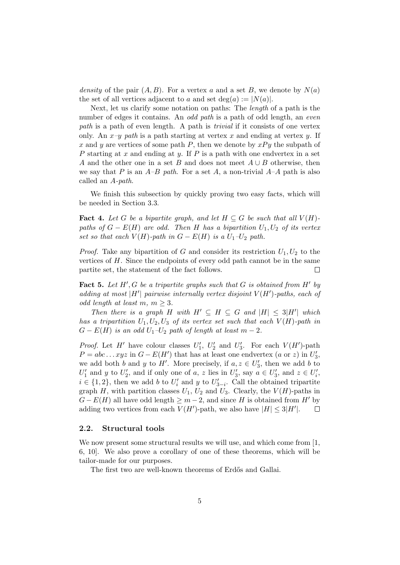density of the pair  $(A, B)$ . For a vertex a and a set B, we denote by  $N(a)$ the set of all vertices adjacent to a and set deg(a)  $:= |N(a)|$ .

Next, let us clarify some notation on paths: The length of a path is the number of edges it contains. An *odd path* is a path of odd length, an *even* path is a path of even length. A path is trivial if it consists of one vertex only. An  $x-y$  path is a path starting at vertex x and ending at vertex y. If x and y are vertices of some path P, then we denote by  $xPy$  the subpath of P starting at x and ending at y. If P is a path with one endvertex in a set A and the other one in a set B and does not meet  $A \cup B$  otherwise, then we say that P is an  $A-B$  path. For a set A, a non-trivial  $A-A$  path is also called an A-path.

We finish this subsection by quickly proving two easy facts, which will be needed in Section 3.3.

**Fact 4.** Let G be a bipartite graph, and let  $H \subseteq G$  be such that all  $V(H)$ paths of  $G - E(H)$  are odd. Then H has a bipartition  $U_1, U_2$  of its vertex set so that each  $V(H)$ -path in  $G - E(H)$  is a  $U_1-U_2$  path.

*Proof.* Take any bipartition of G and consider its restriction  $U_1, U_2$  to the vertices of  $H$ . Since the endpoints of every odd path cannot be in the same partite set, the statement of the fact follows.  $\Box$ 

Fact 5. Let  $H', G$  be a tripartite graphs such that  $G$  is obtained from  $H'$  by adding at most |H'| pairwise internally vertex disjoint  $V(H')$ -paths, each of odd length at least m,  $m \geq 3$ .

Then there is a graph H with  $H' \subseteq H \subseteq G$  and  $|H| \leq 3|H'|$  which has a tripartition  $U_1, U_2, U_3$  of its vertex set such that each  $V(H)$ -path in  $G - E(H)$  is an odd  $U_1-U_2$  path of length at least  $m-2$ .

*Proof.* Let  $H'$  have colour classes  $U'_1$ ,  $U'_2$  and  $U'_3$ . For each  $V(H')$ -path  $P = abc \dots xyz$  in  $G - E(H')$  that has at least one endvertex  $(a \text{ or } z)$  in  $U'_3$ , we add both b and y to H'. More precisely, if  $a, z \in U'_3$ , then we add b to  $U'_1$  and y to  $U'_2$ , and if only one of a, z lies in  $U'_3$ , say  $a \in U'_3$ , and  $z \in U'_i$ ,  $i \in \{1,2\}$ , then we add b to  $U_i'$  and y to  $U_{3-i}'$ . Call the obtained tripartite graph H, with partition classes  $U_1$ ,  $U_2$  and  $U_3$ . Clearly, the  $V(H)$ -paths in  $G - E(H)$  all have odd length  $\geq m-2$ , and since H is obtained from H' by adding two vertices from each  $V(H')$ -path, we also have  $|H| \leq 3|H'|$ .  $\Box$ 

### 2.2. Structural tools

We now present some structural results we will use, and which come from  $[1,$ 6, 10]. We also prove a corollary of one of these theorems, which will be tailor-made for our purposes.

The first two are well-known theorems of Erdős and Gallai.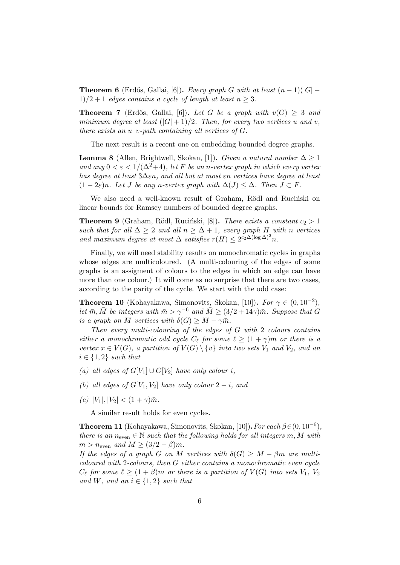**Theorem 6** (Erdős, Gallai, [6]). Every graph G with at least  $(n-1)(|G| 1)/2 + 1$  edges contains a cycle of length at least  $n \geq 3$ .

**Theorem 7** (Erdős, Gallai, [6]). Let G be a graph with  $v(G) \geq 3$  and minimum degree at least  $(|G|+1)/2$ . Then, for every two vertices u and v, there exists an  $u-v$ -path containing all vertices of  $G$ .

The next result is a recent one on embedding bounded degree graphs.

**Lemma 8** (Allen, Brightwell, Skokan, [1]). Given a natural number  $\Delta > 1$ and any  $0 < \varepsilon < 1/(\Delta^2+4)$ , let F be an n-vertex graph in which every vertex has degree at least  $3\Delta \epsilon n$ , and all but at most  $\epsilon n$  vertices have degree at least  $(1-2\varepsilon)n$ . Let J be any n-vertex graph with  $\Delta(J) \leq \Delta$ . Then  $J \subset F$ .

We also need a well-known result of Graham, Rödl and Ruciński on linear bounds for Ramsey numbers of bounded degree graphs.

**Theorem 9** (Graham, Rödl, Ruciński, [8]). There exists a constant  $c_2 > 1$ such that for all  $\Delta \geq 2$  and all  $n \geq \Delta + 1$ , every graph H with n vertices and maximum degree at most  $\Delta$  satisfies  $r(H) \leq 2^{c_2 \Delta (\log \Delta)^2} n$ .

Finally, we will need stability results on monochromatic cycles in graphs whose edges are multicoloured. (A multi-colouring of the edges of some graphs is an assigment of colours to the edges in which an edge can have more than one colour.) It will come as no surprise that there are two cases, according to the parity of the cycle. We start with the odd case:

**Theorem 10** (Kohayakawa, Simonovits, Skokan, [10]). For  $\gamma \in (0, 10^{-2})$ , let  $\bar{m}, \bar{M}$  be integers with  $\bar{m} > \gamma^{-6}$  and  $\bar{M} \geq (3/2 + 14\gamma)\bar{m}$ . Suppose that G is a graph on  $\overline{M}$  vertices with  $\delta(G) \geq \overline{M} - \gamma \overline{m}$ .

Then every multi-colouring of the edges of G with 2 colours contains either a monochromatic odd cycle  $C_{\ell}$  for some  $\ell \geq (1 + \gamma)\bar{m}$  or there is a vertex  $x \in V(G)$ , a partition of  $V(G) \setminus \{v\}$  into two sets  $V_1$  and  $V_2$ , and an  $i \in \{1,2\}$  such that

- (a) all edges of  $G[V_1] \cup G[V_2]$  have only colour i,
- (b) all edges of  $G[V_1, V_2]$  have only colour  $2 i$ , and
- (c)  $|V_1|, |V_2| < (1 + \gamma)\bar{m}$ .

A similar result holds for even cycles.

**Theorem 11** (Kohayakawa, Simonovits, Skokan, [10]). For each  $\beta \in (0, 10^{-6})$ , there is an  $n_{\text{even}} \in \mathbb{N}$  such that the following holds for all integers m, M with  $m > n_{\text{even}}$  and  $M \geq (3/2 - \beta)m$ .

If the edges of a graph G on M vertices with  $\delta(G) \geq M - \beta m$  are multicoloured with 2-colours, then G either contains a monochromatic even cycle  $C_{\ell}$  for some  $\ell \geq (1+\beta)m$  or there is a partition of  $V(G)$  into sets  $V_1$ ,  $V_2$ and W, and an  $i \in \{1,2\}$  such that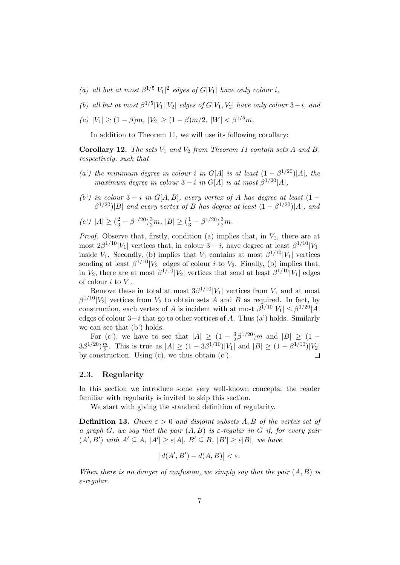- (a) all but at most  $\beta^{1/5}|V_1|^2$  edges of  $G[V_1]$  have only colour i,
- (b) all but at most  $\beta^{1/5}|V_1||V_2|$  edges of  $G[V_1, V_2]$  have only colour  $3-i$ , and
- (c)  $|V_1| > (1 \beta)m$ ,  $|V_2| > (1 \beta)m/2$ ,  $|W| < \beta^{1/5}m$ .

In addition to Theorem 11, we will use its following corollary:

Corollary 12. The sets  $V_1$  and  $V_2$  from Theorem 11 contain sets A and B, respectively, such that

- (a') the minimum degree in colour i in G[A] is at least  $(1 \beta^{1/20})$ ]A], the maximum degree in colour  $3 - i$  in  $G[A]$  is at most  $\beta^{1/20}|A|$ ,
- (b') in colour  $3 i$  in G[A, B], every vertex of A has degree at least  $(1 \beta^{1/20}$ |B| and every vertex of B has degree at least  $(1 - \beta^{1/20})$ |A|, and

$$
(c') |A| \ge (\frac{2}{3} - \beta^{1/20})\frac{3}{2}m, |B| \ge (\frac{1}{3} - \beta^{1/20})\frac{3}{2}m.
$$

*Proof.* Observe that, firstly, condition (a) implies that, in  $V_1$ , there are at most  $2\beta^{1/10}|V_1|$  vertices that, in colour  $3 - i$ , have degree at least  $\beta^{1/10}|V_1|$ inside  $V_1$ . Secondly, (b) implies that  $V_1$  contains at most  $\beta^{1/10}|V_1|$  vertices sending at least  $\beta^{1/10}|V_2|$  edges of colour *i* to  $V_2$ . Finally, (b) implies that, in  $V_2$ , there are at most  $\beta^{1/10}|V_2|$  vertices that send at least  $\beta^{1/10}|V_1|$  edges of colour  $i$  to  $V_1$ .

Remove these in total at most  $3\beta^{1/10}|V_1|$  vertices from  $V_1$  and at most  $\beta^{1/10}|V_2|$  vertices from  $V_2$  to obtain sets A and B as required. In fact, by construction, each vertex of A is incident with at most  $\beta^{1/10}|V_1| \leq \beta^{1/20}|A|$ edges of colour  $3-i$  that go to other vertices of A. Thus (a') holds. Similarly we can see that (b') holds.

For (c'), we have to see that  $|A| \geq (1 - \frac{3}{2})$  $\frac{3}{2}\beta^{1/20}$ )*m* and  $|B| \ge (1 3\beta^{1/20})\frac{m}{2}$  $\frac{m}{2}$ . This is true as  $|A| \ge (1 - 3\beta^{1/10})|V_1|$  and  $|B| \ge (1 - \beta^{1/10})|V_2|$ by construction. Using  $(c)$ , we thus obtain  $(c')$ .  $\Box$ 

### 2.3. Regularity

In this section we introduce some very well-known concepts; the reader familiar with regularity is invited to skip this section.

We start with giving the standard definition of regularity.

**Definition 13.** Given  $\varepsilon > 0$  and disjoint subsets A, B of the vertex set of a graph G, we say that the pair  $(A, B)$  is  $\varepsilon$ -regular in G if, for every pair  $(A', B')$  with  $A' \subseteq A$ ,  $|A'| \geq \varepsilon |A|$ ,  $B' \subseteq B$ ,  $|B'| \geq \varepsilon |B|$ , we have

$$
\big|d(A',B') - d(A,B)\big| < \varepsilon.
$$

When there is no danger of confusion, we simply say that the pair  $(A, B)$  is ε-regular.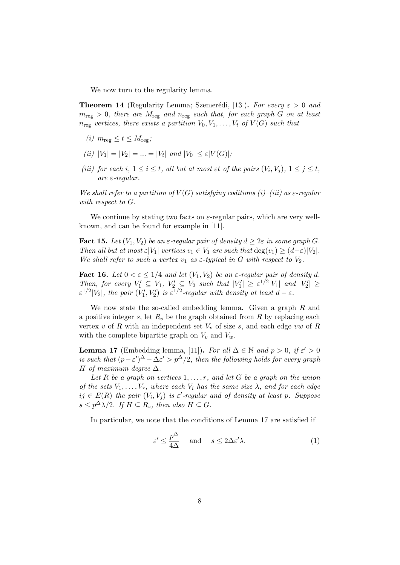We now turn to the regularity lemma.

**Theorem 14** (Regularity Lemma; Szemerédi, [13]). For every  $\varepsilon > 0$  and  $m_{\text{reg}} > 0$ , there are  $M_{\text{reg}}$  and  $n_{\text{reg}}$  such that, for each graph G on at least  $n_{reg}$  vertices, there exists a partition  $V_0, V_1, \ldots, V_t$  of  $V(G)$  such that

- (i)  $m_{\text{reg}} \leq t \leq M_{\text{reg}}$ ;
- (*ii*)  $|V_1| = |V_2| = ... = |V_t|$  and  $|V_0| \leq \varepsilon |V(G)|$ ;
- (iii) for each i,  $1 \leq i \leq t$ , all but at most  $\epsilon t$  of the pairs  $(V_i, V_j)$ ,  $1 \leq j \leq t$ , are ε-regular.

We shall refer to a partition of  $V(G)$  satisfying coditions (i)–(iii) as  $\varepsilon$ -regular with respect to G.

We continue by stating two facts on  $\varepsilon$ -regular pairs, which are very wellknown, and can be found for example in [11].

**Fact 15.** Let  $(V_1, V_2)$  be an  $\varepsilon$ -regular pair of density  $d \geq 2\varepsilon$  in some graph G. Then all but at most  $\varepsilon|V_1|$  vertices  $v_1 \in V_1$  are such that  $\deg(v_1) \geq (d-\varepsilon)|V_2|$ . We shall refer to such a vertex  $v_1$  as  $\varepsilon$ -typical in G with respect to  $V_2$ .

**Fact 16.** Let  $0 < \varepsilon \leq 1/4$  and let  $(V_1, V_2)$  be an  $\varepsilon$ -regular pair of density d. Then, for every  $V'_1 \subseteq V_1$ ,  $V'_2 \subseteq V_2$  such that  $|V'_1| \geq \varepsilon^{1/2}|V_1|$  and  $|V'_2| \geq$  $\varepsilon^{1/2}|V_2|$ , the pair  $(V'_1, V'_2)$  is  $\varepsilon^{1/2}$ -regular with density at least  $d-\varepsilon$ .

We now state the so-called embedding lemma. Given a graph R and a positive integer  $s$ , let  $R_s$  be the graph obtained from  $R$  by replacing each vertex v of R with an independent set  $V_v$  of size s, and each edge vw of R with the complete bipartite graph on  $V_v$  and  $V_w$ .

**Lemma 17** (Embedding lemma, [11]). For all  $\Delta \in \mathbb{N}$  and  $p > 0$ , if  $\varepsilon' > 0$ is such that  $(p-\varepsilon')^{\Delta} - \Delta \varepsilon' > p^{\Delta}/2$ , then the following holds for every graph H of maximum degree  $\Delta$ .

Let R be a graph on vertices  $1, \ldots, r$ , and let G be a graph on the union of the sets  $V_1, \ldots, V_r$ , where each  $V_i$  has the same size  $\lambda$ , and for each edge  $ij \in E(R)$  the pair  $(V_i, V_j)$  is  $\varepsilon'$ -regular and of density at least p. Suppose  $s \leq p^{\Delta} \lambda/2$ . If  $H \subseteq R_s$ , then also  $H \subseteq G$ .

In particular, we note that the conditions of Lemma 17 are satisfied if

$$
\varepsilon' \le \frac{p^{\Delta}}{4\Delta} \quad \text{and} \quad s \le 2\Delta\varepsilon'\lambda. \tag{1}
$$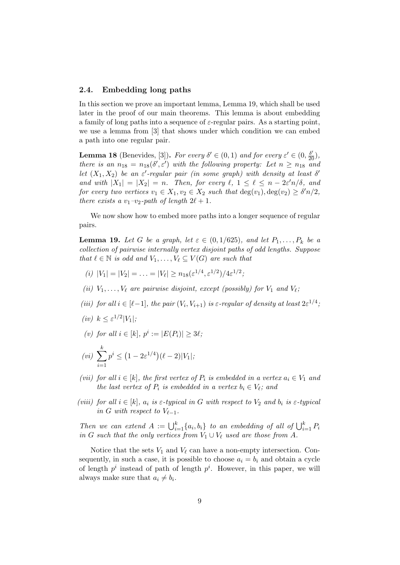### 2.4. Embedding long paths

In this section we prove an important lemma, Lemma 19, which shall be used later in the proof of our main theorems. This lemma is about embedding a family of long paths into a sequence of  $\varepsilon$ -regular pairs. As a starting point, we use a lemma from [3] that shows under which condition we can embed a path into one regular pair.

**Lemma 18** (Benevides, [3]). For every  $\delta' \in (0,1)$  and for every  $\varepsilon' \in (0,\frac{\delta'}{20})$ , there is an  $n_{18} = n_{18}(\delta', \varepsilon')$  with the following property: Let  $n \geq n_{18}$  and let  $(X_1, X_2)$  be an  $\varepsilon'$ -regular pair (in some graph) with density at least  $\delta'$ and with  $|X_1| = |X_2| = n$ . Then, for every  $\ell, 1 \leq \ell \leq n - 2\varepsilon' n/\delta$ , and for every two vertices  $v_1 \in X_1, v_2 \in X_2$  such that  $deg(v_1), deg(v_2) \geq \delta' n/2$ , there exists a  $v_1-v_2$ -path of length  $2\ell + 1$ .

We now show how to embed more paths into a longer sequence of regular pairs.

**Lemma 19.** Let G be a graph, let  $\varepsilon \in (0, 1/625)$ , and let  $P_1, \ldots, P_k$  be a collection of pairwise internally vertex disjoint paths of odd lengths. Suppose that  $\ell \in \mathbb{N}$  is odd and  $V_1, \ldots, V_{\ell} \subseteq V (G)$  are such that

- (i)  $|V_1| = |V_2| = \ldots = |V_\ell| \ge n_{18}(\varepsilon^{1/4}, \varepsilon^{1/2})/4\varepsilon^{1/2};$
- (ii)  $V_1, \ldots, V_\ell$  are pairwise disjoint, except (possibly) for  $V_1$  and  $V_\ell$ ;
- (iii) for all  $i \in [\ell-1]$ , the pair  $(V_i, V_{i+1})$  is  $\varepsilon$ -regular of density at least  $2\varepsilon^{1/4}$ ,
- (iv)  $k \leq \varepsilon^{1/2} |V_1|$ ;
- (v) for all  $i \in [k], p^i := |E(P_i)| \geq 3\ell;$

$$
(vi) \sum_{i=1}^{k} p^{i} \le (1 - 2\varepsilon^{1/4}) (\ell - 2)|V_1|;
$$

- (vii) for all  $i \in [k]$ , the first vertex of  $P_i$  is embedded in a vertex  $a_i \in V_1$  and the last vertex of  $P_i$  is embedded in a vertex  $b_i \in V_\ell$ ; and
- (viii) for all  $i \in [k]$ ,  $a_i$  is  $\varepsilon$ -typical in G with respect to  $V_2$  and  $b_i$  is  $\varepsilon$ -typical in G with respect to  $V_{\ell-1}$ .

Then we can extend  $A := \bigcup_{i=1}^{k} \{a_i, b_i\}$  to an embedding of all of  $\bigcup_{i=1}^{k} P_i$ in G such that the only vertices from  $V_1 \cup V_\ell$  used are those from A.

Notice that the sets  $V_1$  and  $V_\ell$  can have a non-empty intersection. Consequently, in such a case, it is possible to choose  $a_i = b_i$  and obtain a cycle of length  $p^i$  instead of path of length  $p^i$ . However, in this paper, we will always make sure that  $a_i \neq b_i$ .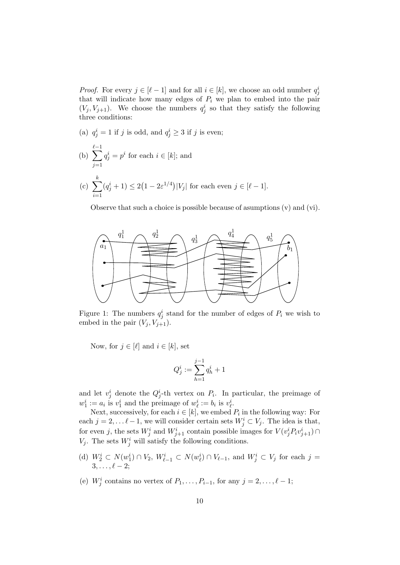*Proof.* For every  $j \in [\ell - 1]$  and for all  $i \in [k]$ , we choose an odd number  $q_j^i$ that will indicate how many edges of  $P_i$  we plan to embed into the pair  $(V_j, V_{j+1})$ . We choose the numbers  $q_j^i$  so that they satisfy the following three conditions:

(a)  $q_j^i = 1$  if j is odd, and  $q_j^i \geq 3$  if j is even;

(b) 
$$
\sum_{j=1}^{\ell-1} q_j^i = p^i
$$
 for each  $i \in [k]$ ; and

(c) 
$$
\sum_{i=1}^{k} (q_j^i + 1) \le 2(1 - 2\varepsilon^{1/4})|V_j|
$$
 for each even  $j \in [\ell - 1]$ .

Observe that such a choice is possible because of asumptions (v) and (vi).



Figure 1: The numbers  $q_j^i$  stand for the number of edges of  $P_i$  we wish to embed in the pair  $(V_i, V_{i+1})$ .

Now, for  $j \in [\ell]$  and  $i \in [k]$ , set

$$
Q^i_j := \sum_{h=1}^{j-1} q^i_h + 1
$$

and let  $v_j^i$  denote the  $Q_j^i$ -th vertex on  $P_i$ . In particular, the preimage of  $w_1^i := a_i$  is  $v_1^i$  and the preimage of  $w_\ell^i := b_i$  is  $v_\ell^i$ .

Next, successively, for each  $i \in [k]$ , we embed  $P_i$  in the following way: For each  $j = 2, \ldots \ell - 1$ , we will consider certain sets  $W_j^i \subset V_j$ . The idea is that, for even j, the sets  $W^i_j$  and  $W^i_{j+1}$  contain possible images for  $V(v^i_j P_i v^i_{j+1}) \cap$  $V_j$ . The sets  $W_j^i$  will satisfy the following conditions.

- (d)  $W_2^i \subset N(w_1^i) \cap V_2$ ,  $W_{\ell-1}^i \subset N(w_{\ell}^i) \cap V_{\ell-1}$ , and  $W_j^i \subset V_j$  for each  $j =$  $3, \ldots, \ell - 2;$
- (e)  $W_j^i$  contains no vertex of  $P_1, \ldots, P_{i-1}$ , for any  $j = 2, \ldots, \ell 1$ ;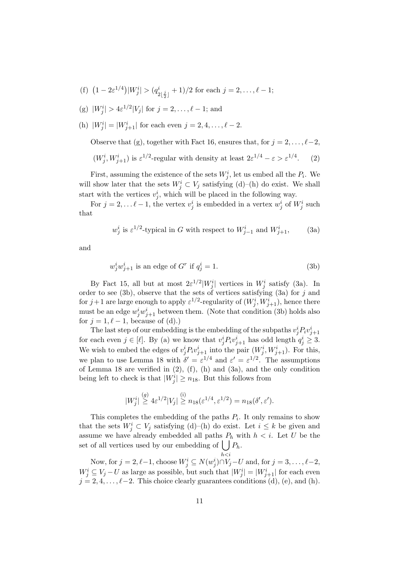- (f)  $(1 2\varepsilon^{1/4})|W_j^i| > (q_{\xi}^i)$  $\frac{i}{2\lfloor \frac{j}{2} \rfloor} + 1)/2$  for each  $j = 2, \ldots, \ell - 1;$
- (g)  $|W_j^i| > 4\varepsilon^{1/2}|V_j|$  for  $j = 2, ..., \ell 1$ ; and
- (h)  $|W_j^i| = |W_{j+1}^i|$  for each even  $j = 2, 4, ..., \ell 2$ .

Observe that (g), together with Fact 16, ensures that, for  $j = 2, \ldots, \ell-2$ ,

 $(W_j^i, W_{j+1}^i)$  is  $\varepsilon^{1/2}$ -regular with density at least  $2\varepsilon^{1/4} - \varepsilon > \varepsilon^{1/4}$ . (2)

First, assuming the existence of the sets  $W_j^i$ , let us embed all the  $P_i$ . We will show later that the sets  $W_j^i \subset V_j$  satisfying (d)–(h) do exist. We shall start with the vertices  $v_j^i$ , which will be placed in the following way.

For  $j = 2, \ldots \ell - 1$ , the vertex  $v_j^i$  is embedded in a vertex  $w_j^i$  of  $W_j^i$  such that

$$
w_j^i
$$
 is  $\varepsilon^{1/2}$ -typical in G with respect to  $W_{j-1}^i$  and  $W_{j+1}^i$ , (3a)

and

$$
w_j^i w_{j+1}^i \text{ is an edge of } G^r \text{ if } q_j^i = 1. \tag{3b}
$$

By Fact 15, all but at most  $2\varepsilon^{1/2}|W_j^i|$  vertices in  $W_j^i$  satisfy (3a). In order to see (3b), observe that the sets of vertices satisfying (3a) for  $j$  and for  $j+1$  are large enough to apply  $\varepsilon^{1/2}$ -regularity of  $(W^i_j, W^i_{j+1}),$  hence there must be an edge  $w_j^i w_{j+1}^i$  between them. (Note that condition (3b) holds also for  $j = 1, \ell - 1$ , because of (d).)

The last step of our embedding is the embedding of the subpaths  $v_j^i P_i v_{j+1}^i$ for each even  $j \in [\ell]$ . By (a) we know that  $v_j^i P_i v_{j+1}^i$  has odd length  $q_j^i \geq 3$ . We wish to embed the edges of  $v_j^i P_i v_{j+1}^i$  into the pair  $(W_j^i, W_{j+1}^i)$ . For this, we plan to use Lemma 18 with  $\delta' = \varepsilon^{1/4}$  and  $\varepsilon' = \varepsilon^{1/2}$ . The assumptions of Lemma 18 are verified in  $(2)$ ,  $(f)$ ,  $(h)$  and  $(3a)$ , and the only condition being left to check is that  $|W_j^i| \ge n_{18}$ . But this follows from

$$
|W_j^i| \stackrel{(g)}{\geq} 4\varepsilon^{1/2} |V_j| \stackrel{(i)}{\geq} n_{18}(\varepsilon^{1/4}, \varepsilon^{1/2}) = n_{18}(\delta', \varepsilon').
$$

This completes the embedding of the paths  $P_i$ . It only remains to show that the sets  $W_j^i \subset V_j$  satisfying (d)–(h) do exist. Let  $i \leq k$  be given and assume we have already embedded all paths  $P_h$  with  $h < i$ . Let U be the set of all vertices used by our embedding of  $\bigcup P_h$ .

 $h$  $$ Now, for  $j = 2, \ell - 1$ , choose  $W_j^i \subseteq N(w_j^i) \cap V_j - U$  and, for  $j = 3, \ldots, \ell - 2$ ,  $W_j^i \subseteq V_j - U$  as large as possible, but such that  $|W_j^i| = |W_{j+1}^i|$  for each even  $j = 2, 4, \ldots, \ell-2$ . This choice clearly guarantees conditions (d), (e), and (h).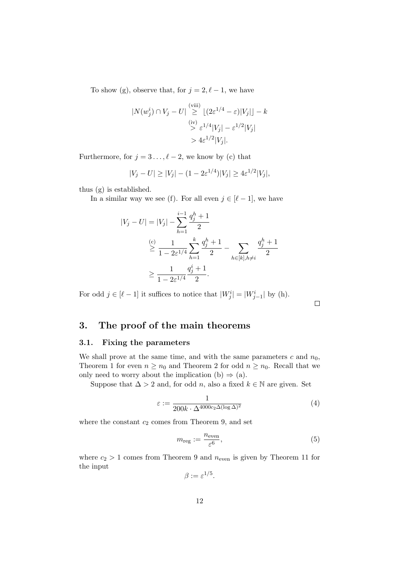To show (g), observe that, for  $j = 2, \ell - 1$ , we have

$$
|N(w_j^i) \cap V_j - U| \overset{\text{(viii)}}{\ge} \lfloor (2\varepsilon^{1/4} - \varepsilon)|V_j| \rfloor - k
$$
  

$$
\overset{\text{(iv)}}{\ge} \varepsilon^{1/4}|V_j| - \varepsilon^{1/2}|V_j|
$$
  

$$
> 4\varepsilon^{1/2}|V_j|.
$$

Furthermore, for  $j = 3 \ldots, \ell - 2$ , we know by (c) that

$$
|V_j - U| \ge |V_j| - (1 - 2\varepsilon^{1/4})|V_j| \ge 4\varepsilon^{1/2}|V_j|,
$$

thus (g) is established.

In a similar way we see (f). For all even  $j \in [\ell - 1]$ , we have

$$
|V_j - U| = |V_j| - \sum_{h=1}^{i-1} \frac{q_j^h + 1}{2}
$$
  

$$
\geq \frac{1}{1 - 2\varepsilon^{1/4}} \sum_{h=1}^k \frac{q_j^h + 1}{2} - \sum_{h \in [k], h \neq i} \frac{q_j^h + 1}{2}
$$
  

$$
\geq \frac{1}{1 - 2\varepsilon^{1/4}} \frac{q_j^i + 1}{2}.
$$

For odd  $j \in [\ell - 1]$  it suffices to notice that  $|W_j^i| = |W_{j-1}^i|$  by (h).

 $\Box$ 

# 3. The proof of the main theorems

## 3.1. Fixing the parameters

We shall prove at the same time, and with the same parameters c and  $n_0$ , Theorem 1 for even  $n \geq n_0$  and Theorem 2 for odd  $n \geq n_0$ . Recall that we only need to worry about the implication (b)  $\Rightarrow$  (a).

Suppose that  $\Delta > 2$  and, for odd n, also a fixed  $k \in \mathbb{N}$  are given. Set

$$
\varepsilon := \frac{1}{200k \cdot \Delta^{4000c_2 \Delta (\log \Delta)^2}}
$$
(4)

where the constant  $c_2$  comes from Theorem 9, and set

$$
m_{\text{reg}} := \frac{n_{\text{even}}}{\varepsilon^6},\tag{5}
$$

where  $c_2 > 1$  comes from Theorem 9 and  $n_{\text{even}}$  is given by Theorem 11 for the input

 $\beta := \varepsilon^{1/5}.$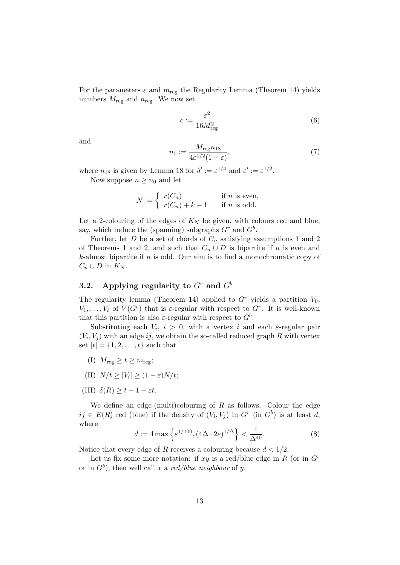For the parameters  $\varepsilon$  and  $m_{\text{reg}}$  the Regularity Lemma (Theorem 14) yields numbers  $M_{\text{reg}}$  and  $n_{\text{reg}}$ . We now set

$$
c := \frac{\varepsilon^2}{16M_{\text{reg}}^2} \tag{6}
$$

and

$$
n_0 := \frac{M_{\text{reg}} n_{18}}{4\varepsilon^{1/2} (1 - \varepsilon)},\tag{7}
$$

where  $n_{18}$  is given by Lemma 18 for  $\delta' := \varepsilon^{1/4}$  and  $\varepsilon' := \varepsilon^{1/2}$ .

Now suppose  $n \geq n_0$  and let

$$
N := \begin{cases} r(C_n) & \text{if } n \text{ is even,} \\ r(C_n) + k - 1 & \text{if } n \text{ is odd.} \end{cases}
$$

Let a 2-colouring of the edges of  $K_N$  be given, with colours red and blue, say, which induce the (spanning) subgraphs  $G<sup>r</sup>$  and  $G<sup>b</sup>$ .

Further, let  $D$  be a set of chords of  $C_n$  satisfying assumptions 1 and 2 of Theorems 1 and 2, and such that  $C_n \cup D$  is bipartite if n is even and  $k$ -almost bipartite if  $n$  is odd. Our aim is to find a monochromatic copy of  $C_n \cup D$  in  $K_N$ .

# 3.2. Applying regularity to  $G<sup>r</sup>$  and  $G<sup>b</sup>$

The regularity lemma (Theorem 14) applied to  $G<sup>r</sup>$  yields a partition  $V_0$ ,  $V_1, \ldots, V_t$  of  $V(G^r)$  that is  $\varepsilon$ -regular with respect to  $G^r$ . It is well-known that this partition is also  $\varepsilon$ -regular with respect to  $G^b$ .

Substituting each  $V_i$ ,  $i > 0$ , with a vertex i and each  $\varepsilon$ -regular pair  $(V_i, V_j)$  with an edge ij, we obtain the so-called reduced graph R with vertex set  $[t] = \{1, 2, ..., t\}$  such that

- (I)  $M_{\text{reg}} \geq t \geq m_{\text{reg}};$
- (II)  $N/t \geq |V_i| \geq (1-\varepsilon)N/t;$
- (III)  $\delta(R) \geq t 1 \varepsilon t$ .

We define an edge-(multi)colouring of  $R$  as follows. Colour the edge  $ij \in E(R)$  red (blue) if the density of  $(V_i, V_j)$  in  $G^r$  (in  $G^b$ ) is at least d, where

$$
d := 4 \max \left\{ \varepsilon^{1/100}, (4\Delta \cdot 2\varepsilon)^{1/\Delta} \right\} < \frac{1}{\Delta^{40}}. \tag{8}
$$

Notice that every edge of R receives a colouring because  $d < 1/2$ .

Let us fix some more notation: if  $xy$  is a red/blue edge in R (or in  $G<sup>r</sup>$ or in  $G^b$ ), then well call x a red/blue neighbour of y.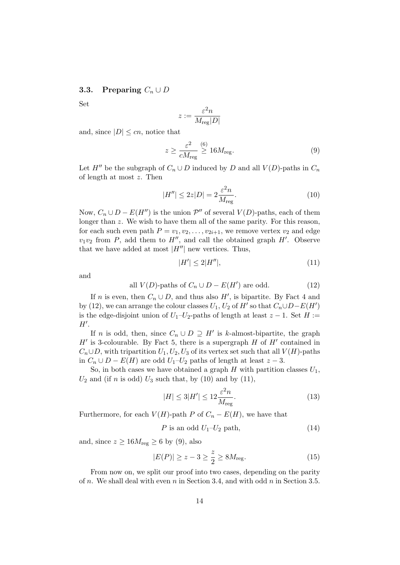### 3.3. Preparing  $C_n \cup D$

Set

$$
z:=\frac{\varepsilon^2 n}{M_{\rm reg}|D|}
$$

and, since  $|D| \leq cn$ , notice that

$$
z \ge \frac{\varepsilon^2}{cM_{\text{reg}}} \stackrel{(6)}{\ge} 16M_{\text{reg}}.\tag{9}
$$

Let  $H''$  be the subgraph of  $C_n \cup D$  induced by D and all  $V(D)$ -paths in  $C_n$ of length at most z. Then

$$
|H''| \le 2z|D| = 2\frac{\varepsilon^2 n}{M_{\text{reg}}}.\tag{10}
$$

Now,  $C_n \cup D - E(H'')$  is the union  $\mathcal{P}''$  of several  $V(D)$ -paths, each of them longer than z. We wish to have them all of the same parity. For this reason, for each such even path  $P = v_1, v_2, \ldots, v_{2i+1}$ , we remove vertex  $v_2$  and edge  $v_1v_2$  from P, add them to H'', and call the obtained graph H'. Observe that we have added at most  $|H''|$  new vertices. Thus,

$$
|H'| \le 2|H''|,\tag{11}
$$

and

all 
$$
V(D)
$$
-paths of  $C_n \cup D - E(H')$  are odd. (12)

If n is even, then  $C_n \cup D$ , and thus also H', is bipartite. By Fact 4 and by (12), we can arrange the colour classes  $U_1, U_2$  of  $H'$  so that  $C_n \cup D - E(H')$ is the edge-disjoint union of  $U_1-U_2$ -paths of length at least  $z-1$ . Set  $H :=$  $H'.$ 

If *n* is odd, then, since  $C_n \cup D \supseteq H'$  is k-almost-bipartite, the graph  $H'$  is 3-colourable. By Fact 5, there is a supergraph H of  $H'$  contained in  $C_n \cup D$ , with tripartition  $U_1, U_2, U_3$  of its vertex set such that all  $V(H)$ -paths in  $C_n$  ∪  $D - E(H)$  are odd  $U_1-U_2$  paths of length at least  $z - 3$ .

So, in both cases we have obtained a graph  $H$  with partition classes  $U_1$ ,  $U_2$  and (if n is odd)  $U_3$  such that, by (10) and by (11),

$$
|H| \le 3|H'| \le 12 \frac{\varepsilon^2 n}{M_{\text{reg}}}.\tag{13}
$$

Furthermore, for each  $V(H)$ -path P of  $C_n - E(H)$ , we have that

$$
P \text{ is an odd } U_1 - U_2 \text{ path}, \tag{14}
$$

and, since  $z \ge 16M_{\text{reg}} \ge 6$  by (9), also

$$
|E(P)| \ge z - 3 \ge \frac{z}{2} \ge 8M_{\text{reg}}.\tag{15}
$$

From now on, we split our proof into two cases, depending on the parity of n. We shall deal with even n in Section 3.4, and with odd  $n$  in Section 3.5.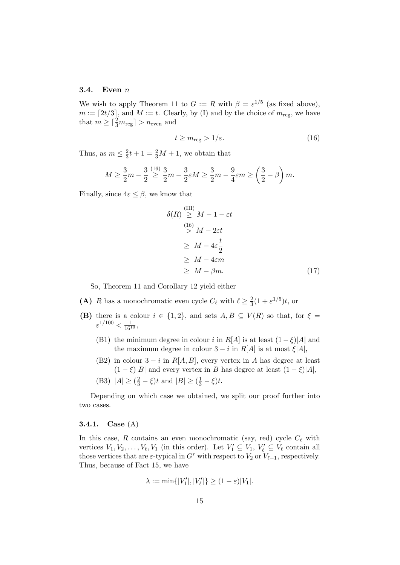#### 3.4. Even  $n$

We wish to apply Theorem 11 to  $G := R$  with  $\beta = \varepsilon^{1/5}$  (as fixed above),  $m := [2t/3]$ , and  $M := t$ . Clearly, by (I) and by the choice of  $m_{reg}$ , we have that  $m \geq \lceil \frac{2}{3}m_{\text{reg}} \rceil > n_{\text{even}}$  and

$$
t \ge m_{\text{reg}} > 1/\varepsilon. \tag{16}
$$

Thus, as  $m \leq \frac{2}{3}$  $\frac{2}{3}t + 1 = \frac{2}{3}M + 1$ , we obtain that

$$
M \ge \frac{3}{2}m - \frac{3}{2} \stackrel{(16)}{\ge} \frac{3}{2}m - \frac{3}{2} \varepsilon M \ge \frac{3}{2}m - \frac{9}{4} \varepsilon m \ge \left(\frac{3}{2} - \beta\right)m.
$$

Finally, since  $4\varepsilon \leq \beta$ , we know that

$$
(R) \stackrel{\text{(III)}}{\geq} M - 1 - \varepsilon t
$$
  
\n
$$
\stackrel{\text{(16)}}{\geq} M - 2\varepsilon t
$$
  
\n
$$
\geq M - 4\varepsilon \frac{t}{2}
$$
  
\n
$$
\geq M - 4\varepsilon m
$$
  
\n
$$
\geq M - \beta m.
$$
  
\n(17)

So, Theorem 11 and Corollary 12 yield either

 $\delta$ 

- (A) R has a monochromatic even cycle  $C_{\ell}$  with  $\ell \geq \frac{2}{3}$  $\frac{2}{3}(1+\varepsilon^{1/5})t$ , or
- (B) there is a colour  $i \in \{1,2\}$ , and sets  $A, B \subseteq V(R)$  so that, for  $\xi =$  $\varepsilon^{1/100} < \frac{1}{16^{10}},$ 
	- (B1) the minimum degree in colour i in  $R[A]$  is at least  $(1 \xi)|A|$  and the maximum degree in colour  $3 - i$  in  $R[A]$  is at most  $\xi |A|$ ,
	- (B2) in colour  $3 i$  in  $R[A, B]$ , every vertex in A has degree at least  $(1 - \xi)|B|$  and every vertex in B has degree at least  $(1 - \xi)|A|$ ,
	- (B3)  $|A| \ge (\frac{2}{3} \xi)t$  and  $|B| \ge (\frac{1}{3} \xi)t$ .

Depending on which case we obtained, we split our proof further into two cases.

### 3.4.1. Case (A)

In this case, R contains an even monochromatic (say, red) cycle  $C_{\ell}$  with vertices  $V_1, V_2, \ldots, V_\ell, V_1$  (in this order). Let  $V'_1 \subseteq V_1, V'_\ell \subseteq V_\ell$  contain all those vertices that are  $\varepsilon$ -typical in G<sup>r</sup> with respect to  $V_2$  or  $V_{\ell-1}$ , respectively. Thus, because of Fact 15, we have

$$
\lambda := \min\{|V_1'|, |V_\ell'|\} \ge (1 - \varepsilon)|V_1|.
$$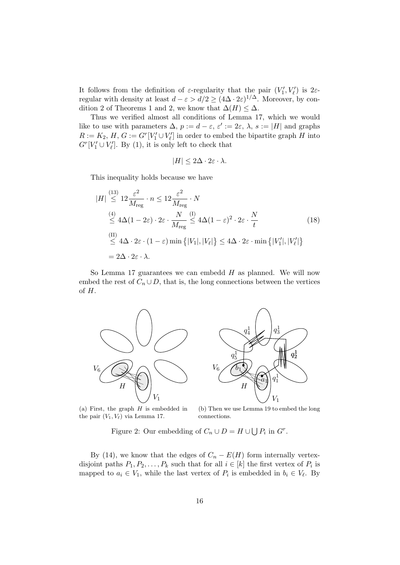It follows from the definition of  $\varepsilon$ -regularity that the pair  $(V'_1, V'_\ell)$  is  $2\varepsilon$ regular with density at least  $d - \varepsilon > d/2 \geq (4\Delta \cdot 2\varepsilon)^{1/\Delta}$ . Moreover, by condition 2 of Theorems 1 and 2, we know that  $\Delta(H) \leq \Delta$ .

Thus we verified almost all conditions of Lemma 17, which we would like to use with parameters  $\Delta$ ,  $p := d - \varepsilon$ ,  $\varepsilon' := 2\varepsilon$ ,  $\lambda$ ,  $s := |H|$  and graphs  $R := K_2$ ,  $H$ ,  $G := G^r[V_1' \cup V_\ell']$  in order to embed the bipartite graph  $H$  into  $G^{r}[V'_{1} \cup V'_{\ell}]$ . By (1), it is only left to check that

$$
|H| \le 2\Delta \cdot 2\varepsilon \cdot \lambda.
$$

This inequality holds because we have

$$
|H| \stackrel{(13)}{\leq} 12 \frac{\varepsilon^2}{M_{\text{reg}}} \cdot n \leq 12 \frac{\varepsilon^2}{M_{\text{reg}}} \cdot N
$$
  
\n
$$
\stackrel{(4)}{\leq} 4\Delta (1 - 2\varepsilon) \cdot 2\varepsilon \cdot \frac{N}{M_{\text{reg}}} \stackrel{(1)}{\leq} 4\Delta (1 - \varepsilon)^2 \cdot 2\varepsilon \cdot \frac{N}{t}
$$
  
\n
$$
\stackrel{(II)}{\leq} 4\Delta \cdot 2\varepsilon \cdot (1 - \varepsilon) \min \{|V_1|, |V_\ell|\} \leq 4\Delta \cdot 2\varepsilon \cdot \min \{|V'_1|, |V'_\ell|\}
$$
  
\n
$$
= 2\Delta \cdot 2\varepsilon \cdot \lambda.
$$
 (18)

So Lemma 17 guarantees we can embedd  $H$  as planned. We will now embed the rest of  $C_n \cup D$ , that is, the long connections between the vertices of H.





(a) First, the graph  $H$  is embedded in the pair  $(V_1, V_\ell)$  via Lemma 17.

(b) Then we use Lemma 19 to embed the long connections.

Figure 2: Our embedding of  $C_n \cup D = H \cup \bigcup P_i$  in  $G^r$ .

By (14), we know that the edges of  $C_n - E(H)$  form internally vertexdisjoint paths  $P_1, P_2, \ldots, P_k$  such that for all  $i \in [k]$  the first vertex of  $P_i$  is mapped to  $a_i \in V_1$ , while the last vertex of  $P_i$  is embedded in  $b_i \in V_\ell$ . By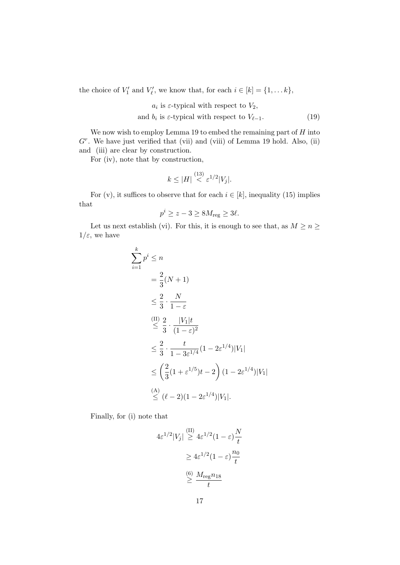the choice of  $V'_1$  and  $V'_\ell$ , we know that, for each  $i \in [k] = \{1, \ldots k\},\$ 

 $a_i$  is  $\varepsilon$ -typical with respect to  $V_2$ ,

and  $b_i$  is  $\varepsilon$ -typical with respect to  $V_{\ell-1}$ . (19)

We now wish to employ Lemma 19 to embed the remaining part of  $H$  into  $G<sup>r</sup>$ . We have just verified that (vii) and (viii) of Lemma 19 hold. Also, (ii) and (iii) are clear by construction.

For (iv), note that by construction,

k

$$
k \le |H| \stackrel{(13)}{<} \varepsilon^{1/2} |V_j|.
$$

For (v), it suffices to observe that for each  $i \in [k]$ , inequality (15) implies that

$$
p^i \ge z - 3 \ge 8M_{\text{reg}} \ge 3\ell.
$$

Let us next establish (vi). For this, it is enough to see that, as  $M \ge n \ge$  $1/\varepsilon$ , we have

$$
\sum_{i=1}^{k} p^{i} \leq n
$$
\n
$$
= \frac{2}{3} (N + 1)
$$
\n
$$
\leq \frac{2}{3} \cdot \frac{N}{1 - \varepsilon}
$$
\n
$$
\leq \frac{2}{3} \cdot \frac{|V_{1}|t}{(1 - \varepsilon)^{2}}
$$
\n
$$
\leq \frac{2}{3} \cdot \frac{t}{1 - 3\varepsilon^{1/4}} (1 - 2\varepsilon^{1/4}) |V_{1}|
$$
\n
$$
\leq \left(\frac{2}{3} (1 + \varepsilon^{1/5})t - 2\right) (1 - 2\varepsilon^{1/4}) |V_{1}|
$$
\n
$$
\leq (\ell - 2)(1 - 2\varepsilon^{1/4}) |V_{1}|.
$$

Finally, for (i) note that

$$
4\varepsilon^{1/2}|V_j| \stackrel{\text{(II)}}{\geq} 4\varepsilon^{1/2} (1 - \varepsilon) \frac{N}{t}
$$

$$
\geq 4\varepsilon^{1/2} (1 - \varepsilon) \frac{n_0}{t}
$$

$$
\stackrel{\text{(6)}}{\geq} \frac{M_{\text{reg}} n_{18}}{t}
$$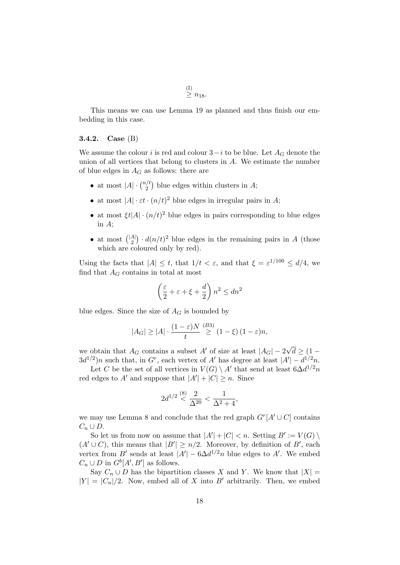$_{\geq n_{18}}^{(I)}$ .

This means we can use Lemma 19 as planned and thus finish our embedding in this case.

#### 3.4.2. Case (B)

We assume the colour i is red and colour  $3-i$  to be blue. Let  $A_G$  denote the union of all vertices that belong to clusters in A. We estimate the number of blue edges in  $A_G$  as follows: there are

- at most  $|A| \cdot \binom{n}{2}$  $2^{t/2}$  blue edges within clusters in A;
- at most  $|A| \cdot \varepsilon t \cdot (n/t)^2$  blue edges in irregular pairs in A;
- at most  $\xi t |A| \cdot (n/t)^2$  blue edges in pairs corresponding to blue edges in A;
- at most  $\binom{|A|}{2}$  $\binom{A}{2} \cdot d(n/t)^2$  blue edges in the remaining pairs in A (those which are coloured only by red).

Using the facts that  $|A| \leq t$ , that  $1/t < \varepsilon$ , and that  $\xi = \varepsilon^{1/100} \leq d/4$ , we find that  $A_G$  contains in total at most

$$
\left(\frac{\varepsilon}{2} + \varepsilon + \xi + \frac{d}{2}\right) n^2 \le dn^2
$$

blue edges. Since the size of  $A_G$  is bounded by

$$
|A_G| \ge |A| \cdot \frac{(1-\varepsilon)N}{t} \stackrel{(B3)}{\ge} (1-\xi) (1-\varepsilon)n,
$$

we obtain that  $A_G$  contains a subset A' of size at least  $|A_G| - 2\sqrt{2}$  $d \geq (1 3d^{1/2}$ )n such that, in G<sup>r</sup>, each vertex of A' has degree at least  $|A'| - d^{1/2}n$ .

Let C be the set of all vertices in  $V(G) \setminus A'$  that send at least  $6\Delta d^{1/2}n$ red edges to A' and suppose that  $|A'| + |C| \ge n$ . Since

$$
2d^{1/2} \stackrel{(8)}{<} \frac{2}{\Delta^{20}} < \frac{1}{\Delta^2 + 4},
$$

we may use Lemma 8 and conclude that the red graph  $G^r[A' \cup C]$  contains  $C_n \cup D$ .

So let us from now on assume that  $|A'| + |C| < n$ . Setting  $B' := V(G) \setminus$  $(A' \cup C)$ , this means that  $|B'| \ge n/2$ . Moreover, by definition of B', each vertex from B' sends at least  $|A'| - 6\Delta d^{1/2}n$  blue edges to A'. We embed  $C_n \cup D$  in  $G^b[A', B']$  as follows.

Say  $C_n \cup D$  has the bipartition classes X and Y. We know that  $|X| =$  $|Y| = |C_n|/2$ . Now, embed all of X into B' arbitrarily. Then, we embed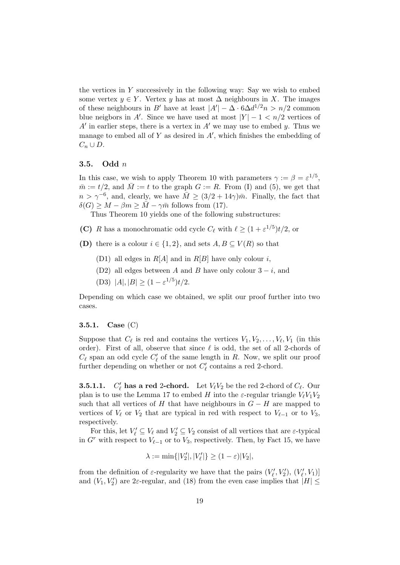the vertices in  $Y$  successively in the following way: Say we wish to embed some vertex  $y \in Y$ . Vertex y has at most  $\Delta$  neighbours in X. The images of these neighbours in B' have at least  $|A'| - \Delta \cdot 6\Delta d^{1/2} n > n/2$  common blue neigbors in A'. Since we have used at most  $|Y| - 1 < n/2$  vertices of  $A'$  in earlier steps, there is a vertex in  $A'$  we may use to embed y. Thus we manage to embed all of  $Y$  as desired in  $A'$ , which finishes the embedding of  $C_n \cup D$ .

#### 3.5. Odd n

In this case, we wish to apply Theorem 10 with parameters  $\gamma := \beta = \varepsilon^{1/5}$ ,  $\overline{m} := t/2$ , and  $\overline{M} := t$  to the graph  $G := R$ . From (I) and (5), we get that  $n > \gamma^{-6}$ , and, clearly, we have  $\overline{M} \geq (3/2 + 14\gamma)\overline{m}$ . Finally, the fact that  $\delta(G) \geq M - \beta m \geq \overline{M} - \gamma \overline{m}$  follows from (17).

Thus Theorem 10 yields one of the following substructures:

- (C) R has a monochromatic odd cycle  $C_{\ell}$  with  $\ell \geq (1 + \varepsilon^{1/5})t/2$ , or
- (D) there is a colour  $i \in \{1,2\}$ , and sets  $A, B \subseteq V(R)$  so that
	- (D1) all edges in  $R[A]$  and in  $R[B]$  have only colour i,
	- (D2) all edges between A and B have only colour  $3 i$ , and
	- (D3)  $|A|, |B| \ge (1 \varepsilon^{1/5})t/2.$

Depending on which case we obtained, we split our proof further into two cases.

#### **3.5.1.** Case  $(C)$

Suppose that  $C_{\ell}$  is red and contains the vertices  $V_1, V_2, \ldots, V_{\ell}, V_1$  (in this order). First of all, observe that since  $\ell$  is odd, the set of all 2-chords of  $C_{\ell}$  span an odd cycle  $C'_{\ell}$  of the same length in R. Now, we split our proof further depending on whether or not  $C'_\ell$  contains a red 2-chord.

**3.5.1.1.**  $C'_\ell$  has a red 2-chord. Let  $V_\ell V_2$  be the red 2-chord of  $C_\ell$ . Our plan is to use the Lemma 17 to embed H into the  $\varepsilon$ -regular triangle  $V_fV_1V_2$ such that all vertices of H that have neighbours in  $G - H$  are mapped to vertices of  $V_\ell$  or  $V_2$  that are typical in red with respect to  $V_{\ell-1}$  or to  $V_3$ , respectively.

For this, let  $V'_\ell \subseteq V_\ell$  and  $V'_2 \subseteq V_2$  consist of all vertices that are  $\varepsilon$ -typical in  $G<sup>r</sup>$  with respect to  $V_{\ell-1}$  or to  $V_3$ , respectively. Then, by Fact 15, we have

$$
\lambda := \min\{|V_2'|, |V_\ell'|\} \ge (1 - \varepsilon)|V_2|,
$$

from the definition of  $\varepsilon$ -regularity we have that the pairs  $(V'_{\ell}, V'_2), (V'_{\ell}, V_1)$ and  $(V_1, V_2')$  are 2 $\varepsilon$ -regular, and (18) from the even case implies that  $|H| \leq$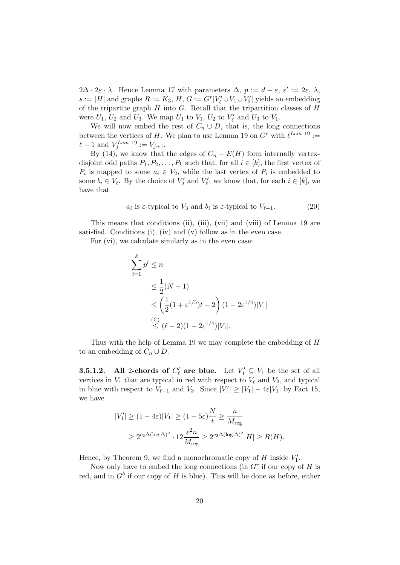$2\Delta \cdot 2\varepsilon \cdot \lambda$ . Hence Lemma 17 with parameters  $\Delta$ ,  $p := d - \varepsilon$ ,  $\varepsilon' := 2\varepsilon$ ,  $\lambda$ ,  $s := |H|$  and graphs  $R := K_3$ ,  $H, G := G<sup>r</sup>[V'<sub>\ell</sub> \cup V<sub>1</sub> \cup V'<sub>2</sub>]$  yields an embedding of the tripartite graph  $H$  into  $G$ . Recall that the tripartition classes of  $H$ were  $U_1$ ,  $U_2$  and  $U_3$ . We map  $U_1$  to  $V_1$ ,  $U_2$  to  $V'_\ell$  and  $U_3$  to  $V_1$ .

We will now embed the rest of  $C_n \cup D$ , that is, the long connections between the vertices of H. We plan to use Lemma 19 on  $G<sup>r</sup>$  with  $\ell^{Lem}$  19 :=  $\ell - 1$  and  $V_j^{Lem 19} := V_{j+1}.$ 

By (14), we know that the edges of  $C_n - E(H)$  form internally vertexdisjoint odd paths  $P_1, P_2, \ldots, P_k$  such that, for all  $i \in [k]$ , the first vertex of  $P_i$  is mapped to some  $a_i \in V_2$ , while the last vertex of  $P_i$  is embedded to some  $b_i \in V_\ell$ . By the choice of  $V'_2$  and  $V'_\ell$ , we know that, for each  $i \in [k]$ , we have that

$$
a_i
$$
 is  $\varepsilon$ -typical to  $V_3$  and  $b_i$  is  $\varepsilon$ -typical to  $V_{\ell-1}$ . (20)

This means that conditions (ii), (iii), (vii) and (viii) of Lemma 19 are satisfied. Conditions (i), (iv) and (v) follow as in the even case.

For (vi), we calculate similarly as in the even case:

$$
\sum_{i=1}^{k} p^{i} \leq n
$$
\n
$$
\leq \frac{1}{2}(N+1)
$$
\n
$$
\leq \left(\frac{1}{2}(1+\varepsilon^{1/5})t-2\right)(1-2\varepsilon^{1/4})|V_{1}|
$$
\n(C)\n(C)\n
$$
\leq (\ell-2)(1-2\varepsilon^{1/4})|V_{1}|.
$$

Thus with the help of Lemma 19 we may complete the embedding of H to an embedding of  $C_n \cup D$ .

**3.5.1.2.** All 2-chords of  $C'_\ell$  are blue. Let  $V'_1 \subseteq V_1$  be the set of all vertices in  $V_1$  that are typical in red with respect to  $V_\ell$  and  $V_2$ , and typical in blue with respect to  $V_{\ell-1}$  and  $V_3$ . Since  $|V'_1| \geq |V_1| - 4\varepsilon |V_1|$  by Fact 15, we have

$$
|V_1'| \ge (1 - 4\varepsilon)|V_1| \ge (1 - 5\varepsilon)\frac{N}{t} \ge \frac{n}{M_{\text{reg}}}
$$
  
 
$$
\ge 2^{c_2 \Delta(\log \Delta)^2} \cdot 12 \frac{\varepsilon^2 n}{M_{\text{reg}}} \ge 2^{c_2 \Delta(\log \Delta)^2} |H| \ge R(H).
$$

Hence, by Theorem 9, we find a monochromatic copy of  $H$  inside  $V'_1$ .

Now only have to embed the long connections (in  $G<sup>r</sup>$  if our copy of  $H$  is red, and in  $G^b$  if our copy of H is blue). This will be done as before, either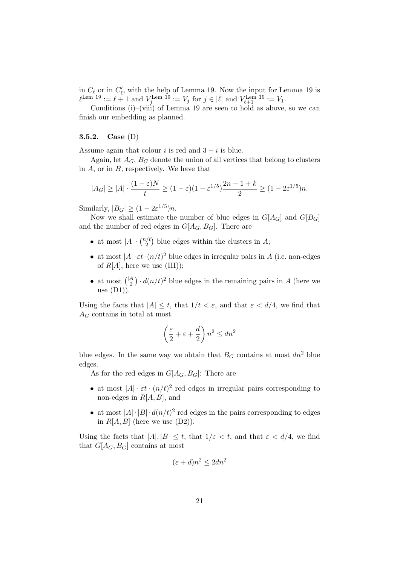in  $C_{\ell}$  or in  $C'_{\ell}$ , with the help of Lemma 19. Now the input for Lemma 19 is  $\ell^{\text{Lem 19}} := \ell + 1$  and  $V_j^{\text{Lem 19}} := V_j$  for  $j \in [\ell]$  and  $V_{\ell+1}^{\text{Lem 19}} := V_1$ .

Conditions (i)–(viii) of Lemma 19 are seen to hold as above, so we can finish our embedding as planned.

### 3.5.2. Case (D)

Assume again that colour i is red and  $3 - i$  is blue.

Again, let  $A_G$ ,  $B_G$  denote the union of all vertices that belong to clusters in  $A$ , or in  $B$ , respectively. We have that

$$
|A_G| \ge |A| \cdot \frac{(1-\varepsilon)N}{t} \ge (1-\varepsilon)(1-\varepsilon^{1/5})\frac{2n-1+k}{2} \ge (1-2\varepsilon^{1/5})n.
$$

Similarly,  $|B_G| \ge (1 - 2\varepsilon^{1/5})n$ .

Now we shall estimate the number of blue edges in  $G[A_G]$  and  $G[B_G]$ and the number of red edges in  $G[A_G, B_G]$ . There are

- at most  $|A| \cdot \binom{n}{2}$  $2^{1/t}$  blue edges within the clusters in A;
- at most  $|A| \cdot \varepsilon t \cdot (n/t)^2$  blue edges in irregular pairs in A (i.e. non-edges of  $R[A]$ , here we use (III));
- at most  $\binom{|A|}{2}$  $\binom{A}{2} \cdot d(n/t)^2$  blue edges in the remaining pairs in A (here we use  $(D1)$ ).

Using the facts that  $|A| \leq t$ , that  $1/t < \varepsilon$ , and that  $\varepsilon < d/4$ , we find that  $A_G$  contains in total at most

$$
\left(\frac{\varepsilon}{2} + \varepsilon + \frac{d}{2}\right) n^2 \le dn^2
$$

blue edges. In the same way we obtain that  $B_G$  contains at most  $dn^2$  blue edges.

As for the red edges in  $G[A_G, B_G]$ : There are

- at most  $|A| \cdot \varepsilon t \cdot (n/t)^2$  red edges in irregular pairs corresponding to non-edges in  $R[A, B]$ , and
- at most  $|A| \cdot |B| \cdot d(n/t)^2$  red edges in the pairs corresponding to edges in  $R[A, B]$  (here we use  $(D2)$ ).

Using the facts that  $|A|, |B| \le t$ , that  $1/\varepsilon < t$ , and that  $\varepsilon < d/4$ , we find that  $G[A_G, B_G]$  contains at most

$$
(\varepsilon + d)n^2 \le 2dn^2
$$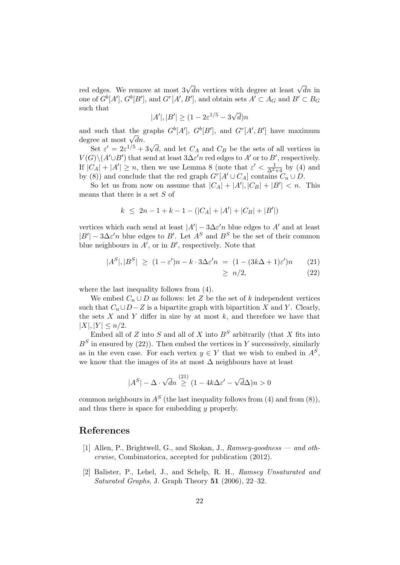red edges. We remove at most  $3\sqrt{d}n$  vertices with degree at least  $\sqrt{d}n$  in one of  $G^b[A'], G^b[B'],$  and  $G^r[A', B'],$  and obtain sets  $A' \subset A_G$  and  $B' \subset B_G$ such that √

$$
|A'|, |B'| \ge (1 - 2\varepsilon^{1/5} - 3\sqrt{d})n
$$

and such that the graphs  $G^b[A'], G^b[B'],$  and  $G^r[A', B']$  have maximum and such that the g<br>degree at most  $\sqrt{d}n$ .

Set  $\varepsilon' = 2\varepsilon^{1/5} + 3\sqrt{d}$ , and let  $C_A$  and  $C_B$  be the sets of all vertices in  $V(G)\setminus (A'\cup B')$  that send at least  $3\Delta\varepsilon' n$  red edges to  $A'$  or to  $B'$ , respectively. If  $|C_A| + |A'| \ge n$ , then we use Lemma 8 (note that  $\varepsilon' < \frac{1}{\Delta^2+4}$  by (4) and by (8)) and conclude that the red graph  $G^{r}[A' \cup C_A]$  contains  $C_n \cup D$ .

So let us from now on assume that  $|C_A| + |A'|, |C_B| + |B'| < n$ . This means that there is a set S of

$$
k \le 2n - 1 + k - 1 - (|C_A| + |A'| + |C_B| + |B'|)
$$

vertices which each send at least  $|A'|-3\Delta\varepsilon' n$  blue edges to A' and at least  $|B'|-3\Delta\varepsilon' n$  blue edges to B'. Let  $A^S$  and  $B^S$  be the set of their common blue neighbours in  $A'$ , or in  $B'$ , respectively. Note that

$$
|A^S|, |B^S| \ge (1 - \varepsilon')n - k \cdot 3\Delta\varepsilon'n = (1 - (3k\Delta + 1)\varepsilon')n \qquad (21)
$$

$$
\geq n/2,\tag{22}
$$

where the last inequality follows from (4).

We embed  $C_n \cup D$  as follows: let Z be the set of k independent vertices such that  $C_n \cup D-Z$  is a bipartite graph with bipartition X and Y. Clearly, the sets  $X$  and  $Y$  differ in size by at most  $k$ , and therefore we have that  $|X|, |Y| \leq n/2.$ 

Embed all of Z into S and all of X into  $B^S$  arbitrarily (that X fits into  $B<sup>S</sup>$  in ensured by (22)). Then embed the vertices in Y successively, similarly as in the even case. For each vertex  $y \in Y$  that we wish to embed in  $A<sup>S</sup>$ , we know that the images of its at most  $\Delta$  neighbours have at least

$$
|A^S| - \Delta \cdot \sqrt{d}n \stackrel{(21)}{\geq} (1 - 4k\Delta\varepsilon' - \sqrt{d}\Delta)n > 0
$$

common neighbours in  $A<sup>S</sup>$  (the last inequality follows from (4) and from (8)), and thus there is space for embedding  $\boldsymbol{u}$  properly.

# References

- [1] Allen, P., Brightwell, G., and Skokan, J., Ramsey-goodness and otherwise, Combinatorica, accepted for publication (2012).
- [2] Balister, P., Lehel, J., and Schelp, R. H., Ramsey Unsaturated and Saturated Graphs, J. Graph Theory 51 (2006), 22-32.